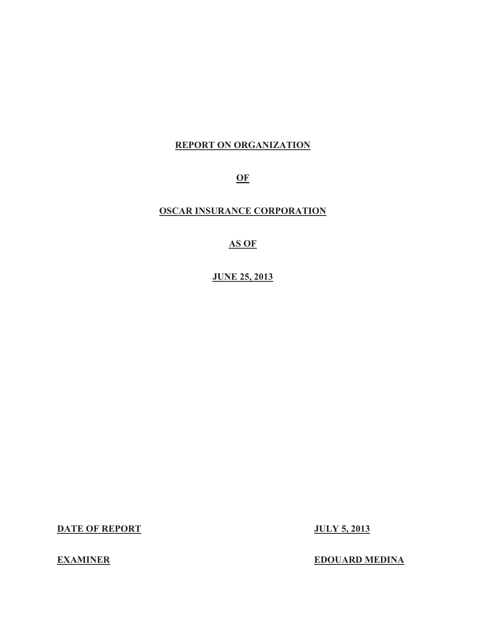#### **REPORT ON ORGANIZATION**

**OF** 

### **OSCAR INSURANCE CORPORATION**

#### **AS OF**

**JUNE 25, 2013** 

**DATE OF REPORT JULY 5, 2013** 

#### **EXAMINER** EDOUARD MEDINA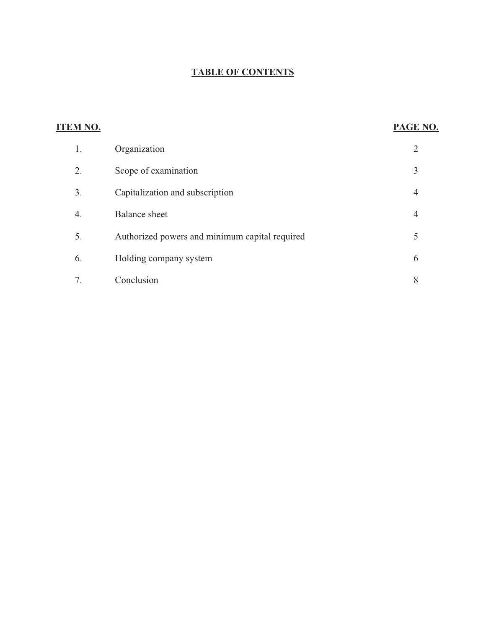## **TABLE OF CONTENTS**

| <b>ITEM NO.</b> |                                                | PAGE NO.       |
|-----------------|------------------------------------------------|----------------|
| 1.              | Organization                                   | $\overline{2}$ |
| 2.              | Scope of examination                           | 3              |
| 3.              | Capitalization and subscription                | 4              |
| 4.              | <b>Balance</b> sheet                           | $\overline{4}$ |
| 5.              | Authorized powers and minimum capital required | 5              |
| 6.              | Holding company system                         | 6              |
| 7.              | Conclusion                                     | 8              |
|                 |                                                |                |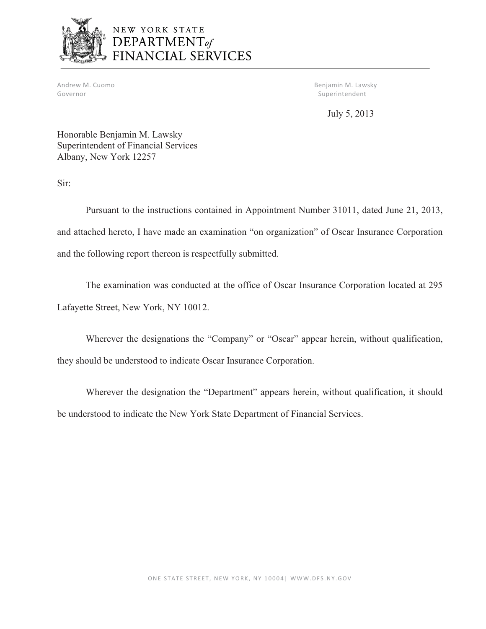

# NEW YORK STATE DEPARTMENT<sub>of</sub><br>FINANCIAL SERVICES

Andrew M. Cuomo Governor

Benjamin M. Lawsky Superintendent

July 5, 2013

Honorable Benjamin M. Lawsky Superintendent of Financial Services Albany, New York 12257

Sir:

Pursuant to the instructions contained in Appointment Number 31011, dated June 21, 2013, and attached hereto, I have made an examination "on organization" of Oscar Insurance Corporation and the following report thereon is respectfully submitted.

The examination was conducted at the office of Oscar Insurance Corporation located at 295 Lafayette Street, New York, NY 10012.

Wherever the designations the "Company" or "Oscar" appear herein, without qualification, they should be understood to indicate Oscar Insurance Corporation.

Wherever the designation the "Department" appears herein, without qualification, it should be understood to indicate the New York State Department of Financial Services.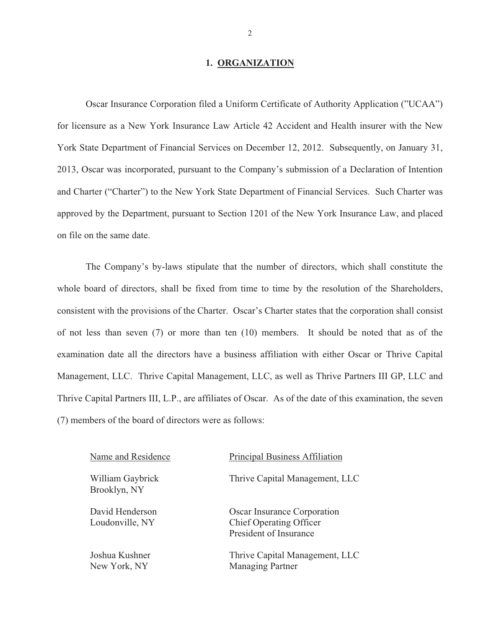#### **1. ORGANIZATION**

Oscar Insurance Corporation filed a Uniform Certificate of Authority Application ("UCAA") for licensure as a New York Insurance Law Article 42 Accident and Health insurer with the New York State Department of Financial Services on December 12, 2012. Subsequently, on January 31, 2013, Oscar was incorporated, pursuant to the Company's submission of a Declaration of Intention and Charter ("Charter") to the New York State Department of Financial Services. Such Charter was approved by the Department, pursuant to Section 1201 of the New York Insurance Law, and placed on file on the same date.

The Company's by-laws stipulate that the number of directors, which shall constitute the whole board of directors, shall be fixed from time to time by the resolution of the Shareholders, consistent with the provisions of the Charter. Oscar's Charter states that the corporation shall consist of not less than seven (7) or more than ten (10) members. It should be noted that as of the examination date all the directors have a business affiliation with either Oscar or Thrive Capital Management, LLC. Thrive Capital Management, LLC, as well as Thrive Partners III GP, LLC and Thrive Capital Partners III, L.P., are affiliates of Oscar. As of the date of this examination, the seven (7) members of the board of directors were as follows:

Name and Residence Principal Business Affiliation William Gaybrick Brooklyn, NY Thrive Capital Management, LLC David Henderson Loudonville, NY Oscar Insurance Corporation Chief Operating Officer President of Insurance Joshua Kushner New York, NY Thrive Capital Management, LLC Managing Partner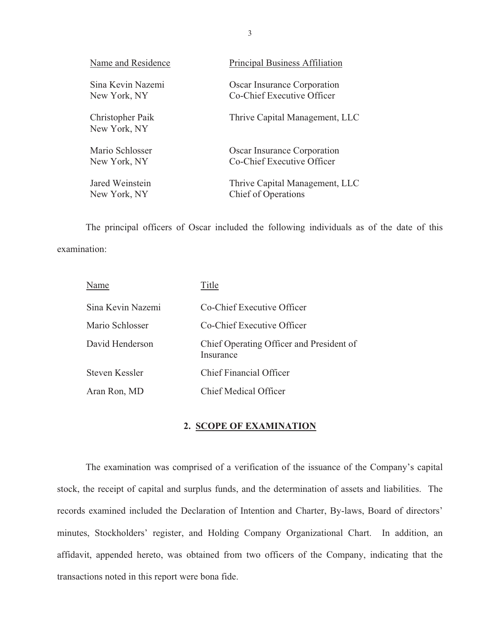<span id="page-4-0"></span>

| Name and Residence                | <b>Principal Business Affiliation</b>                     |
|-----------------------------------|-----------------------------------------------------------|
| Sina Kevin Nazemi<br>New York, NY | Oscar Insurance Corporation<br>Co-Chief Executive Officer |
| Christopher Paik<br>New York, NY  | Thrive Capital Management, LLC                            |
| Mario Schlosser                   | Oscar Insurance Corporation                               |
| New York, NY                      | Co-Chief Executive Officer                                |
| Jared Weinstein                   | Thrive Capital Management, LLC                            |
| New York, NY                      | <b>Chief of Operations</b>                                |

The principal officers of Oscar included the following individuals as of the date of this examination:

| Name              | Title                                                 |
|-------------------|-------------------------------------------------------|
| Sina Kevin Nazemi | Co-Chief Executive Officer                            |
| Mario Schlosser   | Co-Chief Executive Officer                            |
| David Henderson   | Chief Operating Officer and President of<br>Insurance |
| Steven Kessler    | <b>Chief Financial Officer</b>                        |
| Aran Ron, MD      | <b>Chief Medical Officer</b>                          |

#### **2. SCOPE OF EXAMINATION**

The examination was comprised of a verification of the issuance of the Company's capital stock, the receipt of capital and surplus funds, and the determination of assets and liabilities. The records examined included the Declaration of Intention and Charter, By-laws, Board of directors' minutes, Stockholders' register, and Holding Company Organizational Chart. In addition, an affidavit, appended hereto, was obtained from two officers of the Company, indicating that the transactions noted in this report were bona fide.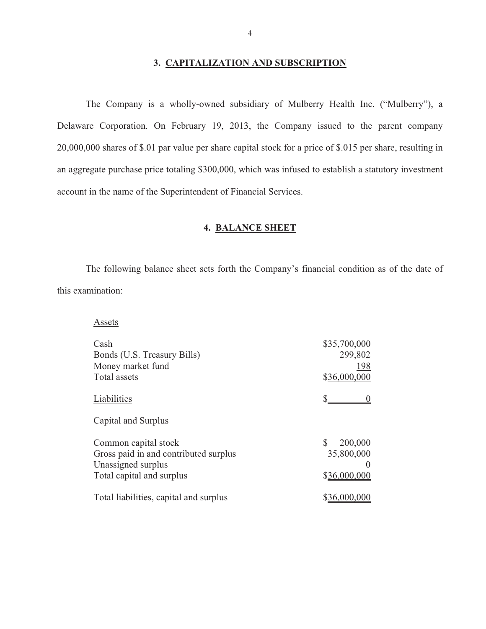#### **3. CAPITALIZATION AND SUBSCRIPTION**

The Company is a wholly-owned subsidiary of Mulberry Health Inc. ("Mulberry"), a Delaware Corporation. On February 19, 2013, the Company issued to the parent company 20,000,000 shares of \$.01 par value per share capital stock for a price of \$.015 per share, resulting in an aggregate purchase price totaling \$300,000, which was infused to establish a statutory investment account in the name of the Superintendent of Financial Services.

#### **4. BALANCE SHEET**

The following balance sheet sets forth the Company's financial condition as of the date of this examination:

| Assets                                 |               |
|----------------------------------------|---------------|
| Cash                                   | \$35,700,000  |
| Bonds (U.S. Treasury Bills)            | 299,802       |
| Money market fund                      | 198           |
| Total assets                           | \$36,000,000  |
| Liabilities                            |               |
| Capital and Surplus                    |               |
| Common capital stock                   | \$<br>200,000 |
| Gross paid in and contributed surplus  | 35,800,000    |
| Unassigned surplus                     |               |
| Total capital and surplus              | \$36,000,000  |
| Total liabilities, capital and surplus | \$36,000,000  |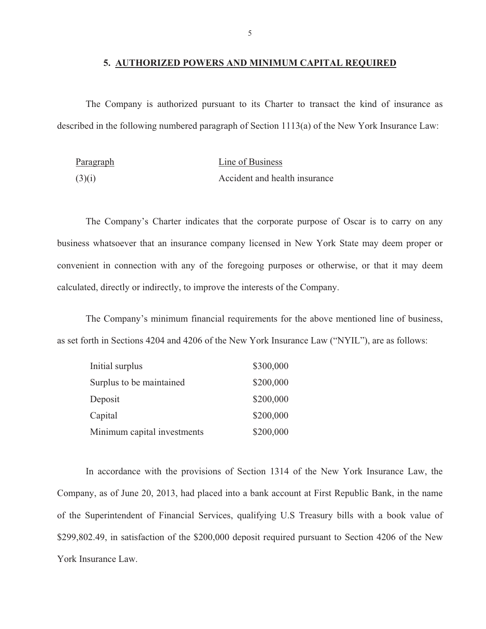#### **5. AUTHORIZED POWERS AND MINIMUM CAPITAL REQUIRED**

The Company is authorized pursuant to its Charter to transact the kind of insurance as described in the following numbered paragraph of Section 1113(a) of the New York Insurance Law:

| Paragraph | Line of Business              |
|-----------|-------------------------------|
| (3)(i)    | Accident and health insurance |

The Company's Charter indicates that the corporate purpose of Oscar is to carry on any business whatsoever that an insurance company licensed in New York State may deem proper or convenient in connection with any of the foregoing purposes or otherwise, or that it may deem calculated, directly or indirectly, to improve the interests of the Company.

The Company's minimum financial requirements for the above mentioned line of business, as set forth in Sections 4204 and 4206 of the New York Insurance Law ("NYIL"), are as follows:

| Initial surplus             | \$300,000 |
|-----------------------------|-----------|
| Surplus to be maintained    | \$200,000 |
| Deposit                     | \$200,000 |
| Capital                     | \$200,000 |
| Minimum capital investments | \$200,000 |

In accordance with the provisions of Section 1314 of the New York Insurance Law, the Company, as of June 20, 2013, had placed into a bank account at First Republic Bank, in the name of the Superintendent of Financial Services, qualifying U.S Treasury bills with a book value of [\\$299,802.49](https://299,802.49), in satisfaction of the \$200,000 deposit required pursuant to Section 4206 of the New York Insurance Law.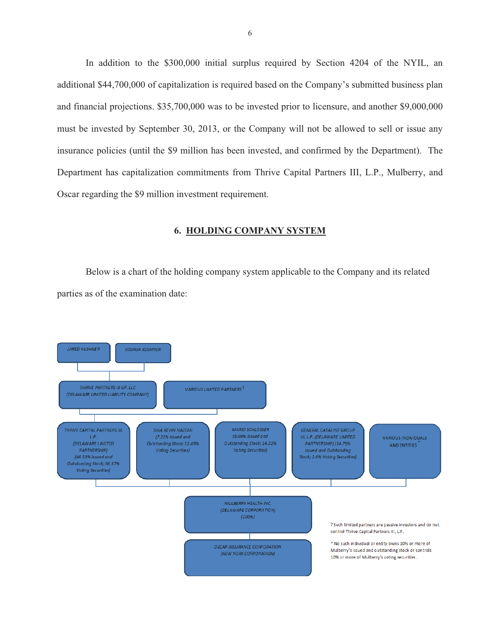<span id="page-7-0"></span>In addition to the \$300,000 initial surplus required by Section 4204 of the NYIL, an additional \$44,700,000 of capitalization is required based on the Company's submitted business plan and financial projections. \$35,700,000 was to be invested prior to licensure, and another \$9,000,000 must be invested by September 30, 2013, or the Company will not be allowed to sell or issue any insurance policies (until the \$9 million has been invested, and confirmed by the Department). The Department has capitalization commitments from Thrive Capital Partners III, L.P., Mulberry, and Oscar regarding the \$9 million investment requirement.

#### **6. HOLDING COMPANY SYSTEM**

Below is a chart of the holding company system applicable to the Company and its related parties as of the examination date:

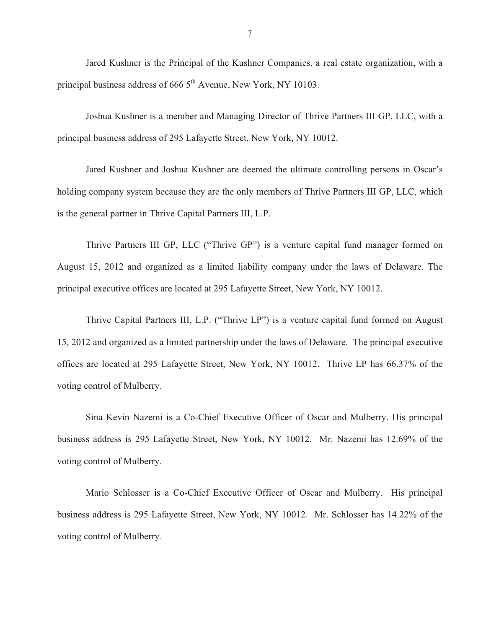Jared Kushner is the Principal of the Kushner Companies, a real estate organization, with a principal business address of 666  $5<sup>th</sup>$  Avenue, New York, NY 10103.

Joshua Kushner is a member and Managing Director of Thrive Partners III GP, LLC, with a principal business address of 295 Lafayette Street, New York, NY 10012.

Jared Kushner and Joshua Kushner are deemed the ultimate controlling persons in Oscar's holding company system because they are the only members of Thrive Partners III GP, LLC, which is the general partner in Thrive Capital Partners III, L.P.

Thrive Partners III GP, LLC ("Thrive GP") is a venture capital fund manager formed on August 15, 2012 and organized as a limited liability company under the laws of Delaware. The principal executive offices are located at 295 Lafayette Street, New York, NY 10012.

Thrive Capital Partners III, L.P. ("Thrive LP") is a venture capital fund formed on August 15, 2012 and organized as a limited partnership under the laws of Delaware. The principal executive offices are located at 295 Lafayette Street, New York, NY 10012. Thrive LP has 66.37% of the voting control of Mulberry.

Sina Kevin Nazemi is a Co-Chief Executive Officer of Oscar and Mulberry. His principal business address is 295 Lafayette Street, New York, NY 10012. Mr. Nazemi has 12.69% of the voting control of Mulberry.

Mario Schlosser is a Co-Chief Executive Officer of Oscar and Mulberry. His principal business address is 295 Lafayette Street, New York, NY 10012. Mr. Schlosser has 14.22% of the voting control of Mulberry.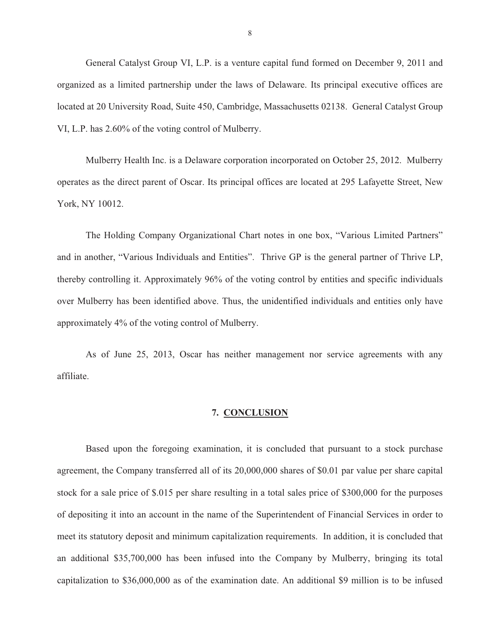<span id="page-9-0"></span>General Catalyst Group VI, L.P. is a venture capital fund formed on December 9, 2011 and organized as a limited partnership under the laws of Delaware. Its principal executive offices are located at 20 University Road, Suite 450, Cambridge, Massachusetts 02138. General Catalyst Group VI, L.P. has 2.60% of the voting control of Mulberry.

Mulberry Health Inc. is a Delaware corporation incorporated on October 25, 2012. Mulberry operates as the direct parent of Oscar. Its principal offices are located at 295 Lafayette Street, New York, NY 10012.

The Holding Company Organizational Chart notes in one box, "Various Limited Partners" and in another, "Various Individuals and Entities". Thrive GP is the general partner of Thrive LP, thereby controlling it. Approximately 96% of the voting control by entities and specific individuals over Mulberry has been identified above. Thus, the unidentified individuals and entities only have approximately 4% of the voting control of Mulberry.

As of June 25, 2013, Oscar has neither management nor service agreements with any affiliate.

#### **7. CONCLUSION**

Based upon the foregoing examination, it is concluded that pursuant to a stock purchase agreement, the Company transferred all of its 20,000,000 shares of \$0.01 par value per share capital stock for a sale price of \$.015 per share resulting in a total sales price of \$300,000 for the purposes of depositing it into an account in the name of the Superintendent of Financial Services in order to meet its statutory deposit and minimum capitalization requirements. In addition, it is concluded that an additional \$35,700,000 has been infused into the Company by Mulberry, bringing its total capitalization to \$36,000,000 as of the examination date. An additional \$9 million is to be infused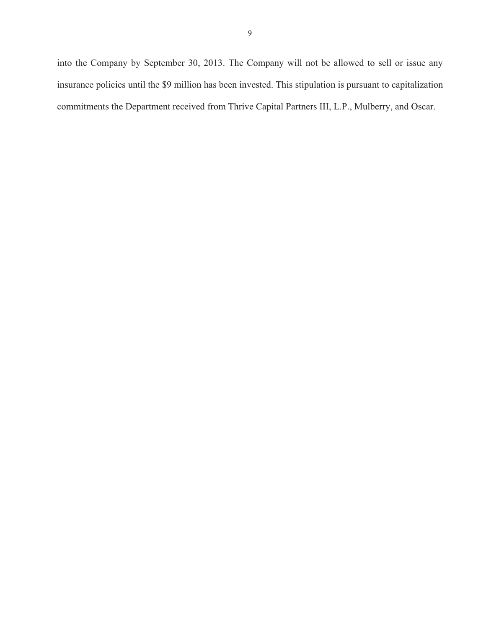into the Company by September 30, 2013. The Company will not be allowed to sell or issue any insurance policies until the \$9 million has been invested. This stipulation is pursuant to capitalization commitments the Department received from Thrive Capital Partners III, L.P., Mulberry, and Oscar.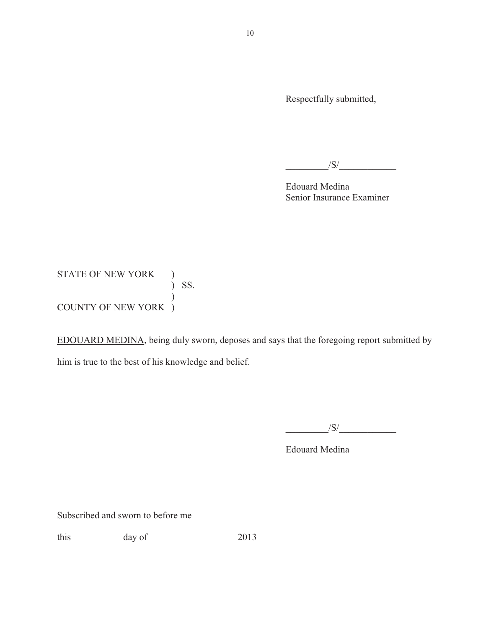Respectfully submitted,

 $/S/$ 

Edouard Medina Senior Insurance Examiner

 ) SS. STATE OF NEW YORK ) ) COUNTY OF NEW YORK )

EDOUARD MEDINA, being duly sworn, deposes and says that the foregoing report submitted by him is true to the best of his knowledge and belief.

 $\sqrt{S}/\sqrt{S}$ 

Edouard Medina

Subscribed and sworn to before me

this  $\frac{day \text{ of } 2013}{x}$